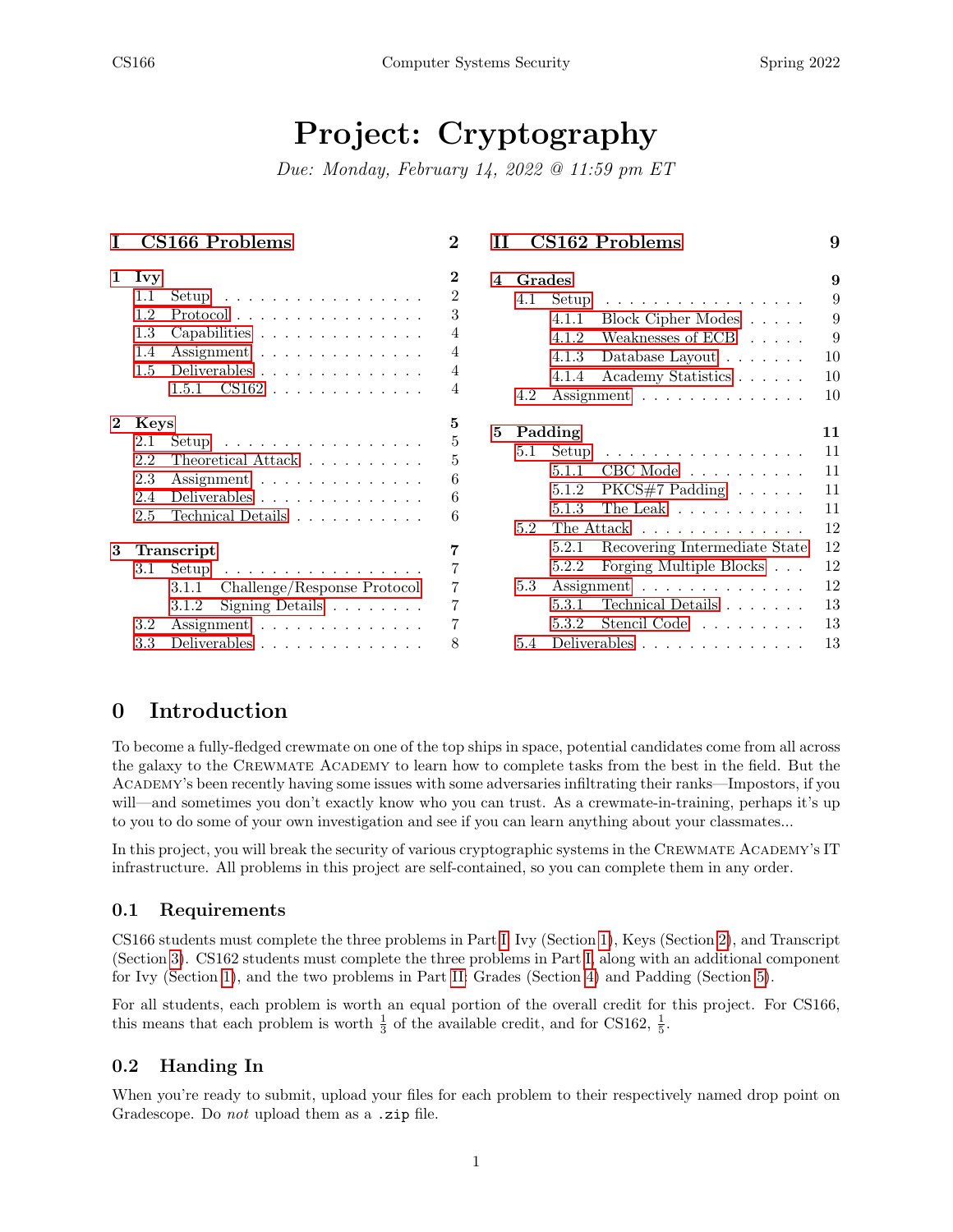# Project: Cryptography

Due: Monday, February 14, 2022 @ 11:59 pm ET

| L              | CS166 Problems                                                                                                                                                                                                              | $\bf{2}$                                            | CS162 Problems<br>9<br>TТ                                                                                                                                                                                                                                       |
|----------------|-----------------------------------------------------------------------------------------------------------------------------------------------------------------------------------------------------------------------------|-----------------------------------------------------|-----------------------------------------------------------------------------------------------------------------------------------------------------------------------------------------------------------------------------------------------------------------|
|                | $1$ Ivy<br>$1.1\,$<br>Setup $\ldots \ldots \ldots \ldots \ldots$<br>$Protocol \ldots \ldots \ldots \ldots \ldots$<br>$1.2\,$<br>$1.3\,$<br>Capabilities<br>Assignment<br>1.4<br>Deliverables<br>$1.5\,$<br>$CS162$<br>1.5.1 | $\bf{2}$<br>$\overline{2}$<br>3<br>4<br>4<br>4<br>4 | Grades<br>$\overline{\mathbf{4}}$<br>9<br>4.1<br>Setup<br>9<br>.<br>Block Cipher Modes<br>9<br>4.1.1<br>Weaknesses of ECB<br>9<br>4.1.2<br>10<br>4.1.3<br>Database Layout $\dots \dots$<br>10<br>Academy Statistics<br>4.1.4<br>10<br>4.2<br>Assignment         |
| $\mathbf{2}^-$ | Keys<br>Setup $\ldots \ldots \ldots \ldots \ldots$<br>$2.1\,$<br>Theoretical Attack $\ldots \ldots \ldots$<br>2.2<br>2.3<br>Assignment<br>Deliverables<br>2.4<br>Technical Details $\ldots \ldots \ldots \ldots$<br>2.5     | 5<br>5<br>5<br>6<br>6<br>6                          | 5<br>Padding<br>11<br>11<br>Setup<br>5.1<br>$CBC$ Mode $\ldots \ldots \ldots$<br>5.1.1<br>11<br>$PKCS#7$ Padding $\ldots \ldots$<br>11<br>5.1.2<br>The Leak $\dots \dots \dots \dots$<br>11<br>5.1.3<br>12<br>5.2<br>The Attack $\dots \dots \dots \dots \dots$ |
| 3              | Transcript<br>3.1<br>Setup<br>and a series and a series and a series<br>Challenge/Response Protocol<br>3.1.1<br>Signing Details $\ldots \ldots \ldots$<br>3.1.2<br>3.2<br>Assignment                                        | 7                                                   | 12<br>Recovering Intermediate State<br>5.2.1<br>12<br>Forging Multiple Blocks<br>5.2.2<br>12<br>Assignment<br>5.3<br>Technical Details<br>13<br>5.3.1<br>Stencil Code<br>13<br>5.3.2                                                                            |
|                | Deliverables<br>3.3                                                                                                                                                                                                         | 8                                                   | 5.4 Deliverables<br>13                                                                                                                                                                                                                                          |

### 0 Introduction

To become a fully-fledged crewmate on one of the top ships in space, potential candidates come from all across the galaxy to the Crewmate Academy to learn how to complete tasks from the best in the field. But the Academy's been recently having some issues with some adversaries infiltrating their ranks—Impostors, if you will—and sometimes you don't exactly know who you can trust. As a crewmate-in-training, perhaps it's up to you to do some of your own investigation and see if you can learn anything about your classmates...

In this project, you will break the security of various cryptographic systems in the CREWMATE ACADEMY's IT infrastructure. All problems in this project are self-contained, so you can complete them in any order.

### 0.1 Requirements

CS166 students must complete the three problems in Part [I:](#page-1-0) Ivy (Section [1\)](#page-1-1), Keys (Section [2\)](#page-4-0), and Transcript (Section [3\)](#page-6-0). CS162 students must complete the three problems in Part [I,](#page-1-0) along with an additional component for Ivy (Section [1\)](#page-1-1), and the two problems in Part [II:](#page-8-0) Grades (Section [4\)](#page-8-1) and Padding (Section [5\)](#page-10-0).

For all students, each problem is worth an equal portion of the overall credit for this project. For CS166, this means that each problem is worth  $\frac{1}{3}$  of the available credit, and for CS162,  $\frac{1}{5}$ .

### 0.2 Handing In

When you're ready to submit, upload your files for each problem to their respectively named drop point on Gradescope. Do not upload them as a .zip file.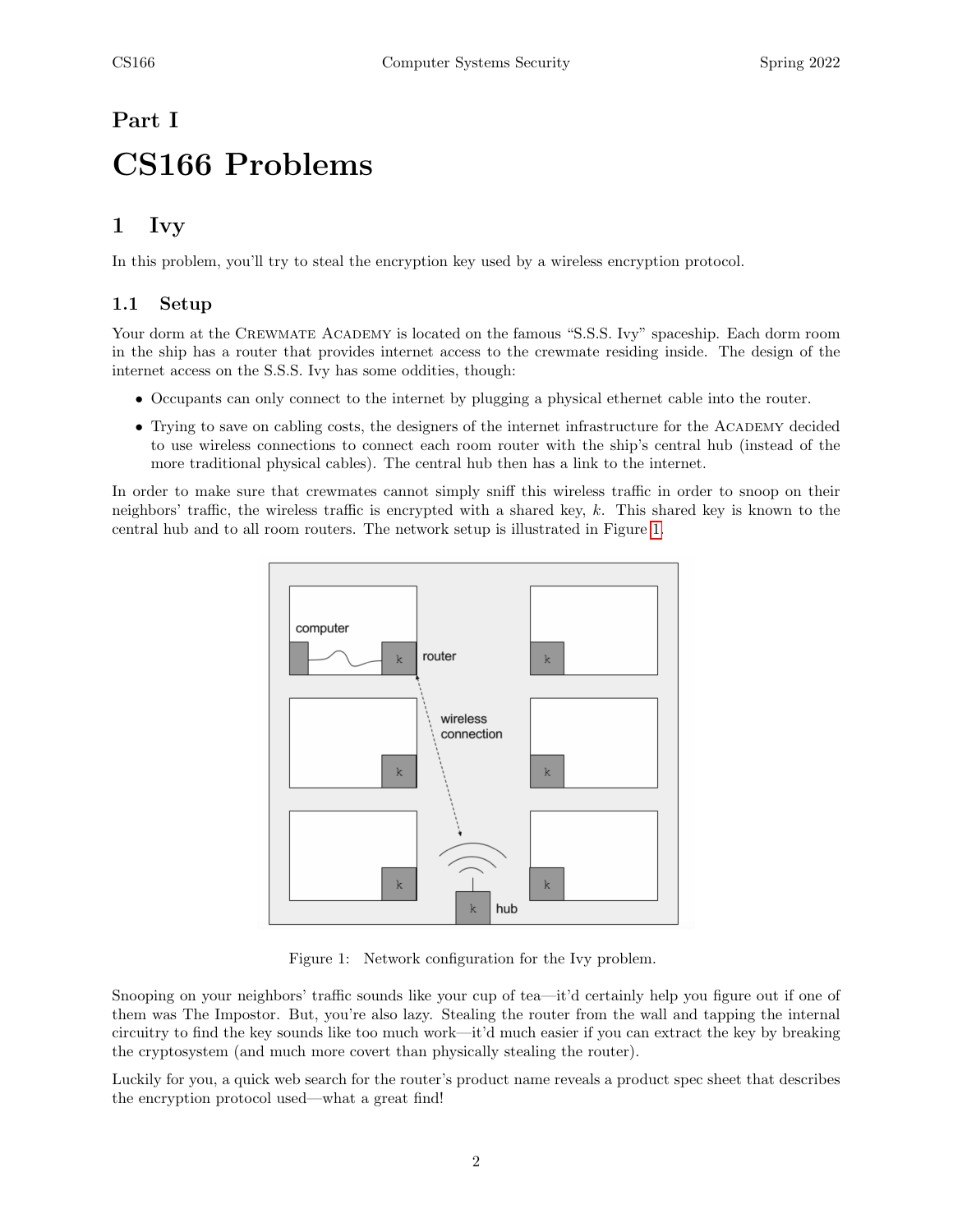# <span id="page-1-0"></span>Part I CS166 Problems

# <span id="page-1-1"></span>1 Ivy

In this problem, you'll try to steal the encryption key used by a wireless encryption protocol.

### <span id="page-1-2"></span>1.1 Setup

Your dorm at the CREWMATE ACADEMY is located on the famous "S.S.S. Ivy" spaceship. Each dorm room in the ship has a router that provides internet access to the crewmate residing inside. The design of the internet access on the S.S.S. Ivy has some oddities, though:

- Occupants can only connect to the internet by plugging a physical ethernet cable into the router.
- Trying to save on cabling costs, the designers of the internet infrastructure for the ACADEMY decided to use wireless connections to connect each room router with the ship's central hub (instead of the more traditional physical cables). The central hub then has a link to the internet.

In order to make sure that crewmates cannot simply sniff this wireless traffic in order to snoop on their neighbors' traffic, the wireless traffic is encrypted with a shared key, k. This shared key is known to the central hub and to all room routers. The network setup is illustrated in Figure [1.](#page-1-3)



<span id="page-1-3"></span>Figure 1: Network configuration for the Ivy problem.

Snooping on your neighbors' traffic sounds like your cup of tea—it'd certainly help you figure out if one of them was The Impostor. But, you're also lazy. Stealing the router from the wall and tapping the internal circuitry to find the key sounds like too much work—it'd much easier if you can extract the key by breaking the cryptosystem (and much more covert than physically stealing the router).

Luckily for you, a quick web search for the router's product name reveals a product spec sheet that describes the encryption protocol used—what a great find!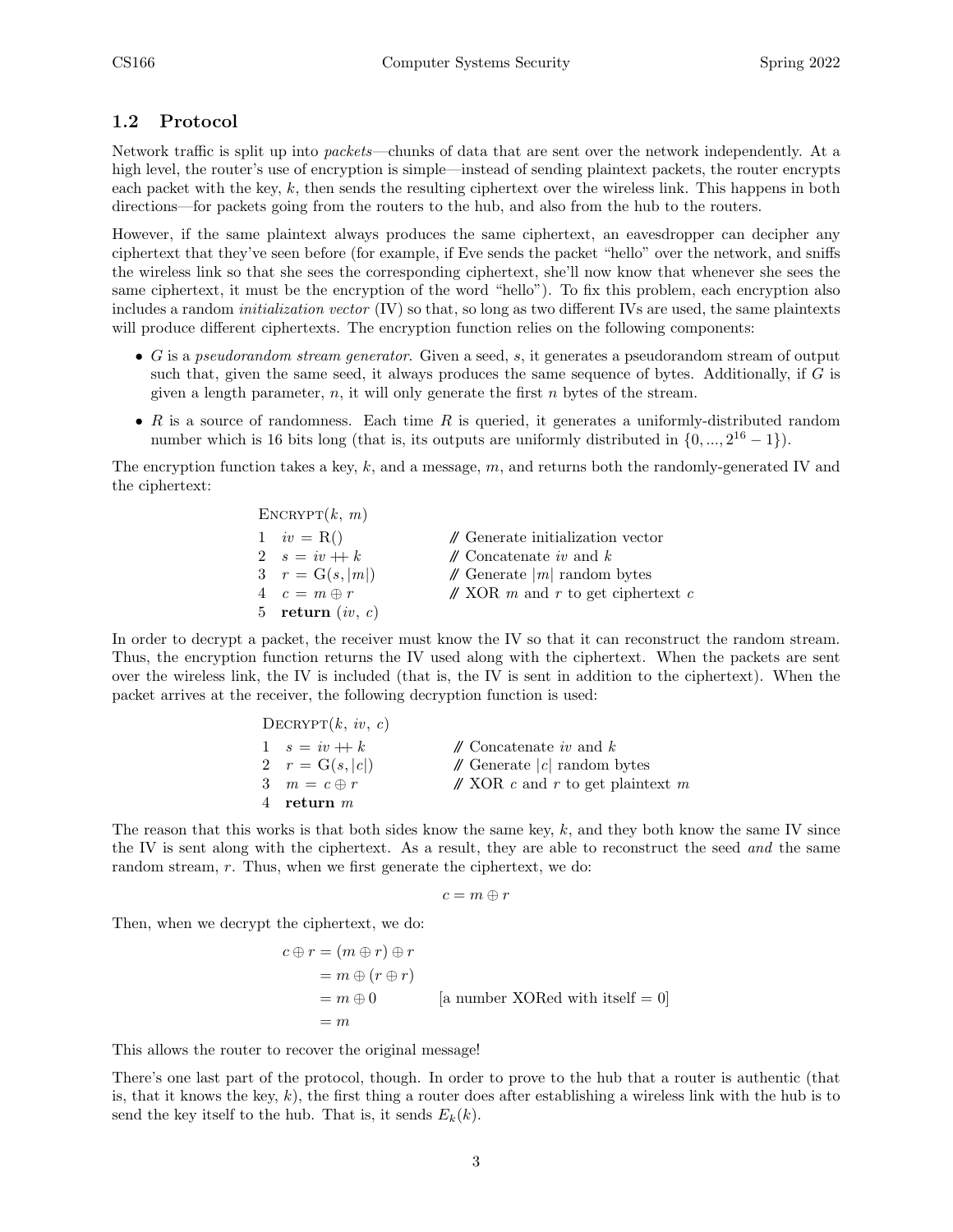### <span id="page-2-0"></span>1.2 Protocol

Network traffic is split up into packets—chunks of data that are sent over the network independently. At a high level, the router's use of encryption is simple—instead of sending plaintext packets, the router encrypts each packet with the key,  $k$ , then sends the resulting ciphertext over the wireless link. This happens in both directions—for packets going from the routers to the hub, and also from the hub to the routers.

However, if the same plaintext always produces the same ciphertext, an eavesdropper can decipher any ciphertext that they've seen before (for example, if Eve sends the packet "hello" over the network, and sniffs the wireless link so that she sees the corresponding ciphertext, she'll now know that whenever she sees the same ciphertext, it must be the encryption of the word "hello"). To fix this problem, each encryption also includes a random initialization vector (IV) so that, so long as two different IVs are used, the same plaintexts will produce different ciphertexts. The encryption function relies on the following components:

- G is a pseudorandom stream generator. Given a seed,  $s$ , it generates a pseudorandom stream of output such that, given the same seed, it always produces the same sequence of bytes. Additionally, if  $G$  is given a length parameter,  $n$ , it will only generate the first  $n$  bytes of the stream.
- $R$  is a source of randomness. Each time  $R$  is queried, it generates a uniformly-distributed random number which is 16 bits long (that is, its outputs are uniformly distributed in  $\{0, ..., 2^{16} - 1\}$ ).

The encryption function takes a key, k, and a message, m, and returns both the randomly-generated IV and the ciphertext:

| $\text{ENCRYPT}(k, m)$ |                                               |
|------------------------|-----------------------------------------------|
| $1$ $iv = R()$         | $\mathcal N$ Generate initialization vector   |
| 2 $s = iv + k$         | $\mathcal N$ Concatenate iv and k             |
| 3 $r = G(s,  m )$      | $\mathcal N$ Generate $ m $ random bytes      |
| $4\quad c=m\oplus r$   | $\mathcal{N}$ XOR m and r to get ciphertext c |
| 5 return $(iv, c)$     |                                               |

In order to decrypt a packet, the receiver must know the IV so that it can reconstruct the random stream. Thus, the encryption function returns the IV used along with the ciphertext. When the packets are sent over the wireless link, the IV is included (that is, the IV is sent in addition to the ciphertext). When the packet arrives at the receiver, the following decryption function is used:

| DECRYPT $(k, iv, c)$ |                                              |
|----------------------|----------------------------------------------|
| $1 \quad s = iv + k$ | $\mathcal N$ Concatenate iv and $k$          |
| 2 $r = G(s,  c )$    | $\mathcal N$ Generate $ c $ random bytes     |
| 3 $m = c \oplus r$   | $\mathcal{N}$ XOR c and r to get plaintext m |
| 4 return $m$         |                                              |

The reason that this works is that both sides know the same key,  $k$ , and they both know the same IV since the IV is sent along with the ciphertext. As a result, they are able to reconstruct the seed and the same random stream, r. Thus, when we first generate the ciphertext, we do:

$$
c=m\oplus r
$$

Then, when we decrypt the ciphertext, we do:

$$
c \oplus r = (m \oplus r) \oplus r
$$
  
=  $m \oplus (r \oplus r)$   
=  $m \oplus 0$  [a number XORed with itself = 0]  
=  $m$ 

This allows the router to recover the original message!

There's one last part of the protocol, though. In order to prove to the hub that a router is authentic (that is, that it knows the key,  $k$ ), the first thing a router does after establishing a wireless link with the hub is to send the key itself to the hub. That is, it sends  $E_k(k)$ .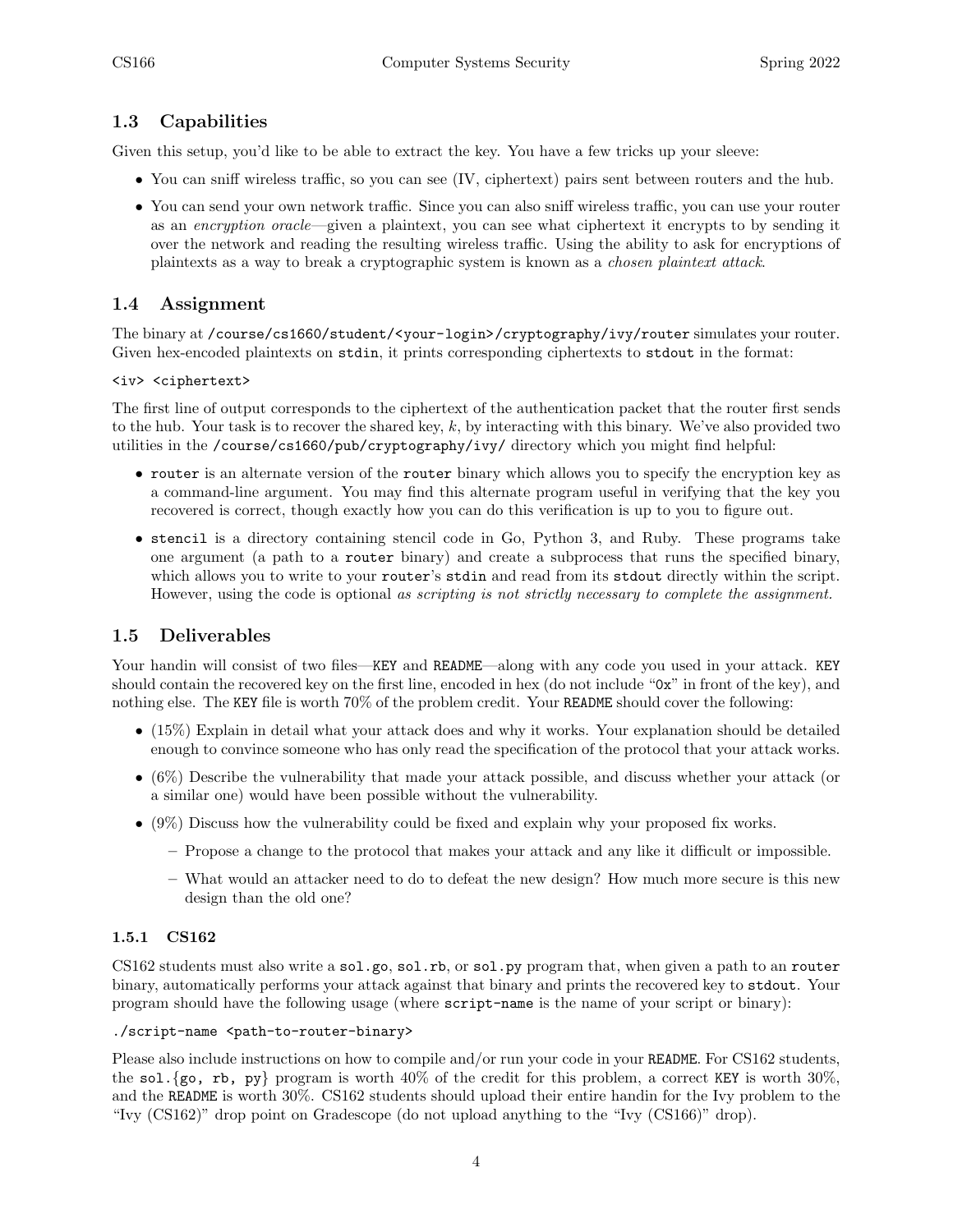### <span id="page-3-0"></span>1.3 Capabilities

Given this setup, you'd like to be able to extract the key. You have a few tricks up your sleeve:

- You can sniff wireless traffic, so you can see (IV, ciphertext) pairs sent between routers and the hub.
- You can send your own network traffic. Since you can also sniff wireless traffic, you can use your router as an encryption oracle—given a plaintext, you can see what ciphertext it encrypts to by sending it over the network and reading the resulting wireless traffic. Using the ability to ask for encryptions of plaintexts as a way to break a cryptographic system is known as a chosen plaintext attack.

### <span id="page-3-1"></span>1.4 Assignment

The binary at /course/cs1660/student/<your-login>/cryptography/ivy/router simulates your router. Given hex-encoded plaintexts on stdin, it prints corresponding ciphertexts to stdout in the format:

### <iv> <ciphertext>

The first line of output corresponds to the ciphertext of the authentication packet that the router first sends to the hub. Your task is to recover the shared key,  $k$ , by interacting with this binary. We've also provided two utilities in the /course/cs1660/pub/cryptography/ivy/ directory which you might find helpful:

- router is an alternate version of the router binary which allows you to specify the encryption key as a command-line argument. You may find this alternate program useful in verifying that the key you recovered is correct, though exactly how you can do this verification is up to you to figure out.
- stencil is a directory containing stencil code in Go, Python 3, and Ruby. These programs take one argument (a path to a router binary) and create a subprocess that runs the specified binary, which allows you to write to your router's stdin and read from its stdout directly within the script. However, using the code is optional as scripting is not strictly necessary to complete the assignment.

### <span id="page-3-2"></span>1.5 Deliverables

Your handin will consist of two files—KEY and README—along with any code you used in your attack. KEY should contain the recovered key on the first line, encoded in hex (do not include "0x" in front of the key), and nothing else. The KEY file is worth 70% of the problem credit. Your README should cover the following:

- (15%) Explain in detail what your attack does and why it works. Your explanation should be detailed enough to convince someone who has only read the specification of the protocol that your attack works.
- (6%) Describe the vulnerability that made your attack possible, and discuss whether your attack (or a similar one) would have been possible without the vulnerability.
- (9%) Discuss how the vulnerability could be fixed and explain why your proposed fix works.
	- Propose a change to the protocol that makes your attack and any like it difficult or impossible.
	- What would an attacker need to do to defeat the new design? How much more secure is this new design than the old one?

### <span id="page-3-3"></span>1.5.1 CS162

CS162 students must also write a sol.go, sol.rb, or sol.py program that, when given a path to an router binary, automatically performs your attack against that binary and prints the recovered key to stdout. Your program should have the following usage (where script-name is the name of your script or binary):

#### ./script-name <path-to-router-binary>

Please also include instructions on how to compile and/or run your code in your README. For CS162 students, the sol. {go, rb, py} program is worth  $40\%$  of the credit for this problem, a correct KEY is worth  $30\%$ , and the README is worth 30%. CS162 students should upload their entire handin for the Ivy problem to the "Ivy (CS162)" drop point on Gradescope (do not upload anything to the "Ivy (CS166)" drop).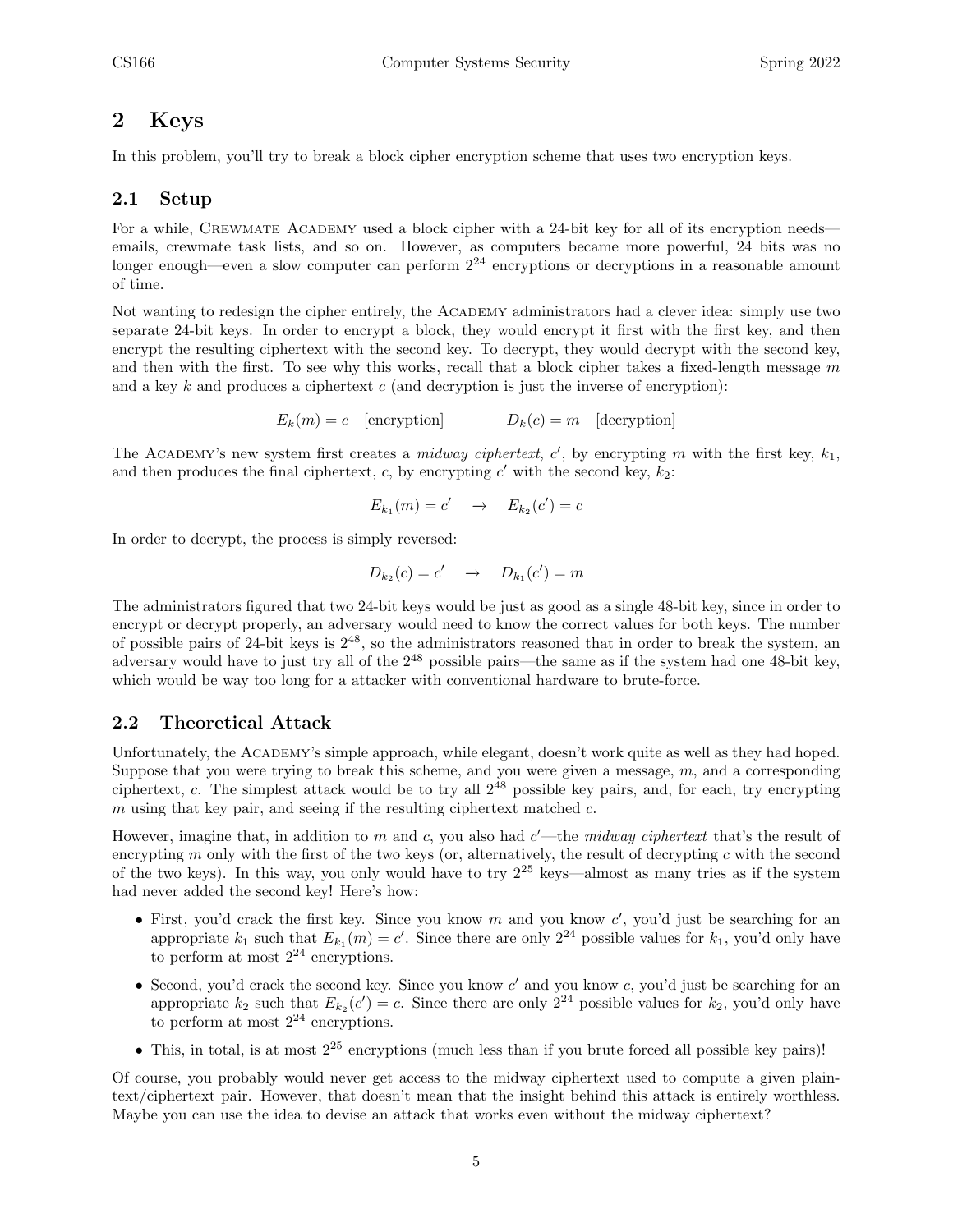### <span id="page-4-0"></span>2 Keys

In this problem, you'll try to break a block cipher encryption scheme that uses two encryption keys.

### <span id="page-4-1"></span>2.1 Setup

For a while, CREWMATE ACADEMY used a block cipher with a 24-bit key for all of its encryption needs emails, crewmate task lists, and so on. However, as computers became more powerful, 24 bits was no longer enough—even a slow computer can perform  $2^{24}$  encryptions or decryptions in a reasonable amount of time.

Not wanting to redesign the cipher entirely, the Academy administrators had a clever idea: simply use two separate 24-bit keys. In order to encrypt a block, they would encrypt it first with the first key, and then encrypt the resulting ciphertext with the second key. To decrypt, they would decrypt with the second key, and then with the first. To see why this works, recall that a block cipher takes a fixed-length message  $m$ and a key  $k$  and produces a ciphertext  $c$  (and decryption is just the inverse of encryption):

$$
E_k(m) = c \quad [encryption] \qquad D_k(c) = m \quad [decription]
$$

The ACADEMY's new system first creates a *midway ciphertext*,  $c'$ , by encrypting m with the first key,  $k_1$ , and then produces the final ciphertext, c, by encrypting  $c'$  with the second key,  $k_2$ :

$$
E_{k_1}(m) = c' \quad \to \quad E_{k_2}(c') = c
$$

In order to decrypt, the process is simply reversed:

$$
D_{k_2}(c) = c' \quad \to \quad D_{k_1}(c') = m
$$

The administrators figured that two 24-bit keys would be just as good as a single 48-bit key, since in order to encrypt or decrypt properly, an adversary would need to know the correct values for both keys. The number of possible pairs of 24-bit keys is  $2^{48}$ , so the administrators reasoned that in order to break the system, an adversary would have to just try all of the  $2^{48}$  possible pairs—the same as if the system had one  $48$ -bit key, which would be way too long for a attacker with conventional hardware to brute-force.

### <span id="page-4-2"></span>2.2 Theoretical Attack

Unfortunately, the ACADEMY's simple approach, while elegant, doesn't work quite as well as they had hoped. Suppose that you were trying to break this scheme, and you were given a message,  $m$ , and a corresponding ciphertext, c. The simplest attack would be to try all 2<sup>48</sup> possible key pairs, and, for each, try encrypting m using that key pair, and seeing if the resulting ciphertext matched  $c$ .

However, imagine that, in addition to m and c, you also had  $c'$ —the midway ciphertext that's the result of encrypting  $m$  only with the first of the two keys (or, alternatively, the result of decrypting  $c$  with the second of the two keys). In this way, you only would have to try  $2^{25}$  keys—almost as many tries as if the system had never added the second key! Here's how:

- First, you'd crack the first key. Since you know  $m$  and you know  $c'$ , you'd just be searching for an appropriate  $k_1$  such that  $E_{k_1}(m) = c'$ . Since there are only  $2^{24}$  possible values for  $k_1$ , you'd only have to perform at most  $2^{24}$  encryptions.
- Second, you'd crack the second key. Since you know  $c'$  and you know  $c$ , you'd just be searching for an appropriate  $k_2$  such that  $E_{k_2}(c') = c$ . Since there are only  $2^{24}$  possible values for  $k_2$ , you'd only have to perform at most  $2^{24}$  encryptions.
- This, in total, is at most  $2^{25}$  encryptions (much less than if you brute forced all possible key pairs)!

Of course, you probably would never get access to the midway ciphertext used to compute a given plaintext/ciphertext pair. However, that doesn't mean that the insight behind this attack is entirely worthless. Maybe you can use the idea to devise an attack that works even without the midway ciphertext?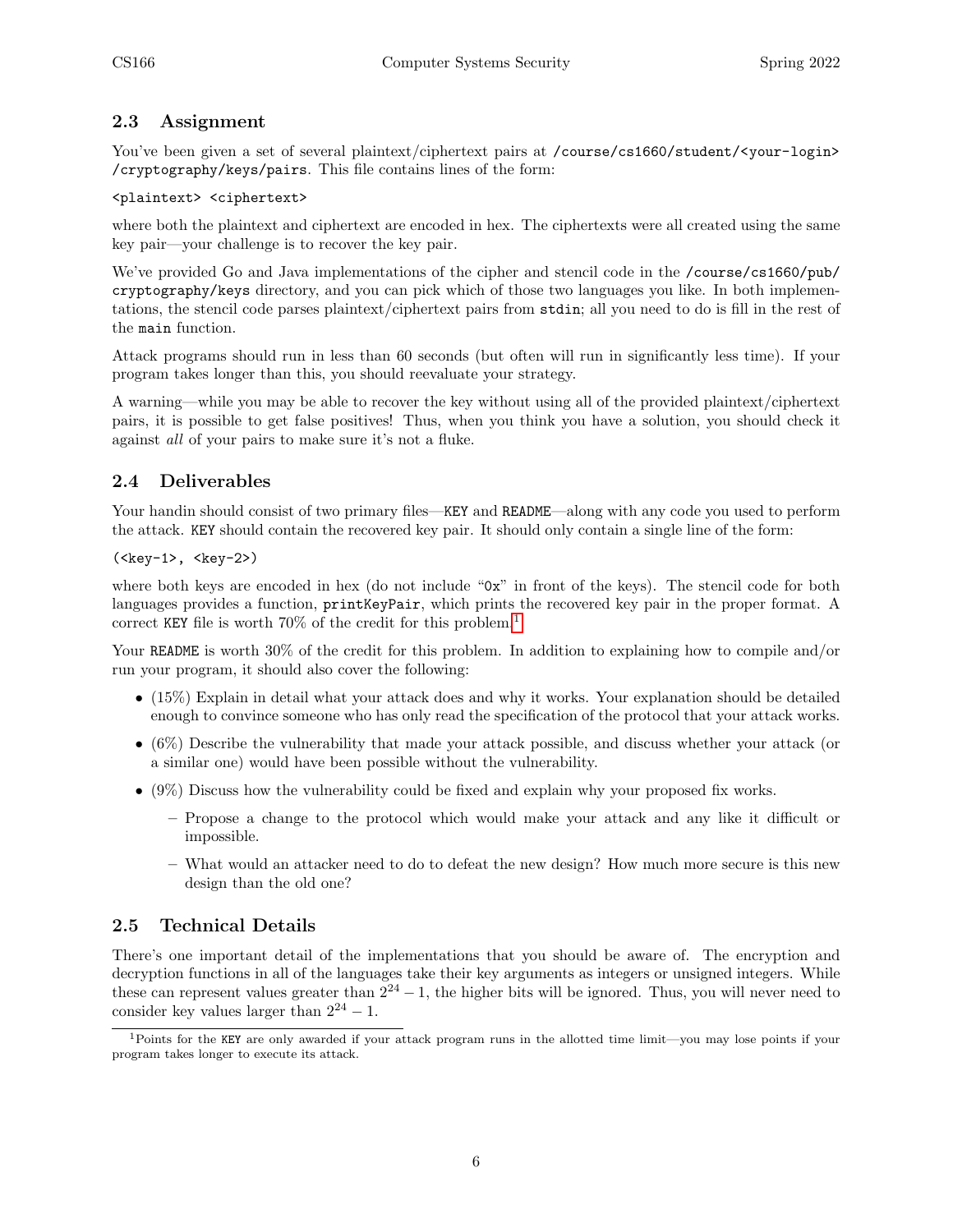### <span id="page-5-0"></span>2.3 Assignment

You've been given a set of several plaintext/ciphertext pairs at /course/cs1660/student/<your-login> /cryptography/keys/pairs. This file contains lines of the form:

### <plaintext> <ciphertext>

where both the plaintext and ciphertext are encoded in hex. The ciphertexts were all created using the same key pair—your challenge is to recover the key pair.

We've provided Go and Java implementations of the cipher and stencil code in the /course/cs1660/pub/ cryptography/keys directory, and you can pick which of those two languages you like. In both implementations, the stencil code parses plaintext/ciphertext pairs from stdin; all you need to do is fill in the rest of the main function.

Attack programs should run in less than 60 seconds (but often will run in significantly less time). If your program takes longer than this, you should reevaluate your strategy.

A warning—while you may be able to recover the key without using all of the provided plaintext/ciphertext pairs, it is possible to get false positives! Thus, when you think you have a solution, you should check it against all of your pairs to make sure it's not a fluke.

### <span id="page-5-1"></span>2.4 Deliverables

Your handin should consist of two primary files—KEY and README—along with any code you used to perform the attack. KEY should contain the recovered key pair. It should only contain a single line of the form:

### $(\text{key-1>}, \text{key-2>})$

where both keys are encoded in hex (do not include "0x" in front of the keys). The stencil code for both languages provides a function, printKeyPair, which prints the recovered key pair in the proper format. A correct KEY file is worth 70% of the credit for this problem.[1](#page-5-3)

Your README is worth  $30\%$  of the credit for this problem. In addition to explaining how to compile and/or run your program, it should also cover the following:

- (15%) Explain in detail what your attack does and why it works. Your explanation should be detailed enough to convince someone who has only read the specification of the protocol that your attack works.
- (6%) Describe the vulnerability that made your attack possible, and discuss whether your attack (or a similar one) would have been possible without the vulnerability.
- (9%) Discuss how the vulnerability could be fixed and explain why your proposed fix works.
	- Propose a change to the protocol which would make your attack and any like it difficult or impossible.
	- What would an attacker need to do to defeat the new design? How much more secure is this new design than the old one?

### <span id="page-5-2"></span>2.5 Technical Details

There's one important detail of the implementations that you should be aware of. The encryption and decryption functions in all of the languages take their key arguments as integers or unsigned integers. While these can represent values greater than  $2^{24} - 1$ , the higher bits will be ignored. Thus, you will never need to consider key values larger than  $2^{24} - 1$ .

<span id="page-5-3"></span><sup>1</sup>Points for the KEY are only awarded if your attack program runs in the allotted time limit—you may lose points if your program takes longer to execute its attack.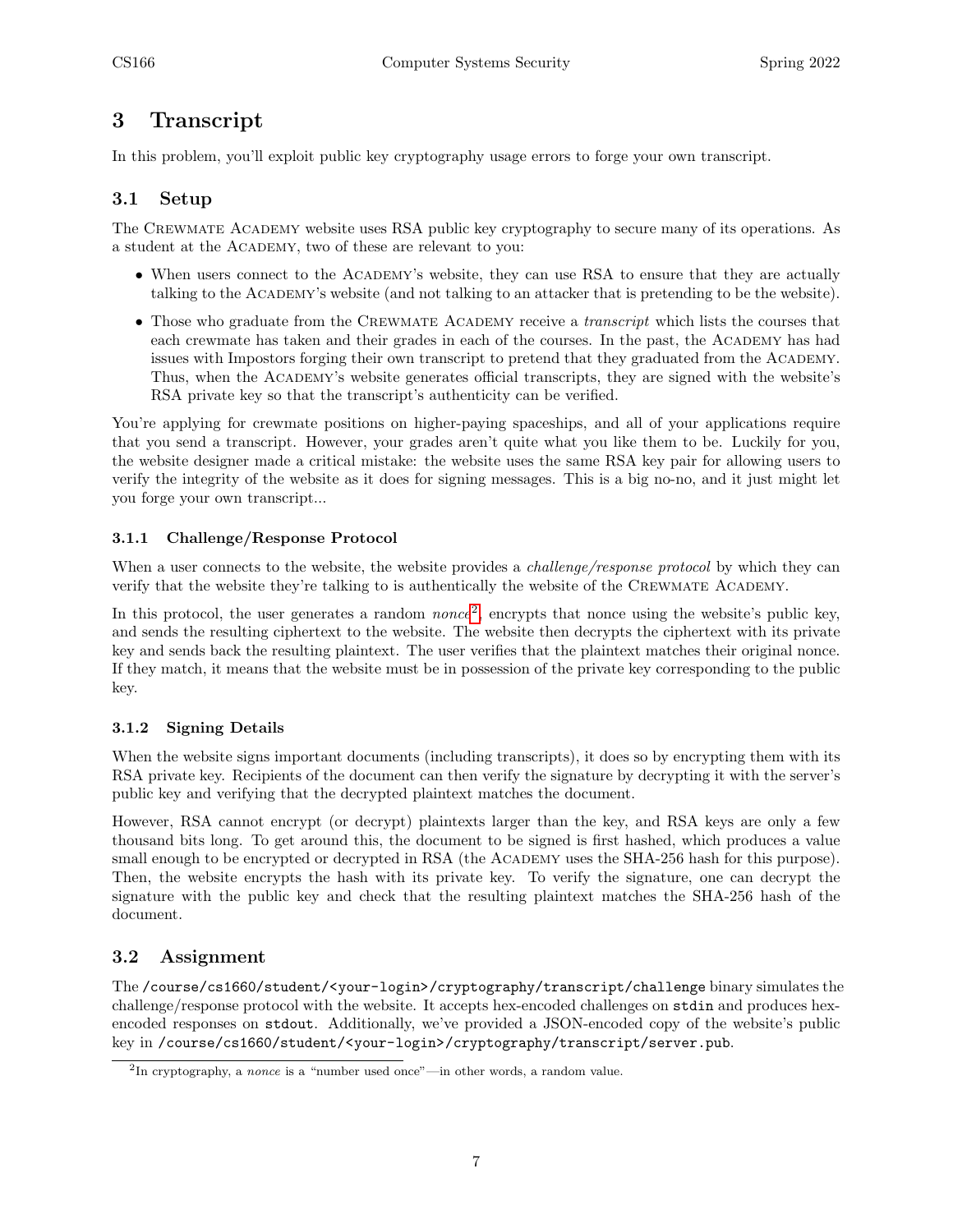## <span id="page-6-0"></span>3 Transcript

In this problem, you'll exploit public key cryptography usage errors to forge your own transcript.

### <span id="page-6-1"></span>3.1 Setup

The CREWMATE ACADEMY website uses RSA public key cryptography to secure many of its operations. As a student at the Academy, two of these are relevant to you:

- When users connect to the ACADEMY's website, they can use RSA to ensure that they are actually talking to the Academy's website (and not talking to an attacker that is pretending to be the website).
- Those who graduate from the CREWMATE ACADEMY receive a *transcript* which lists the courses that each crewmate has taken and their grades in each of the courses. In the past, the ACADEMY has had issues with Impostors forging their own transcript to pretend that they graduated from the Academy. Thus, when the Academy's website generates official transcripts, they are signed with the website's RSA private key so that the transcript's authenticity can be verified.

You're applying for crewmate positions on higher-paying spaceships, and all of your applications require that you send a transcript. However, your grades aren't quite what you like them to be. Luckily for you, the website designer made a critical mistake: the website uses the same RSA key pair for allowing users to verify the integrity of the website as it does for signing messages. This is a big no-no, and it just might let you forge your own transcript...

### <span id="page-6-2"></span>3.1.1 Challenge/Response Protocol

When a user connects to the website, the website provides a *challenge/response protocol* by which they can verify that the website they're talking to is authentically the website of the CREWMATE ACADEMY.

In this protocol, the user generates a random *nonce*<sup>[2](#page-6-5)</sup>, encrypts that nonce using the website's public key, and sends the resulting ciphertext to the website. The website then decrypts the ciphertext with its private key and sends back the resulting plaintext. The user verifies that the plaintext matches their original nonce. If they match, it means that the website must be in possession of the private key corresponding to the public key.

### <span id="page-6-3"></span>3.1.2 Signing Details

When the website signs important documents (including transcripts), it does so by encrypting them with its RSA private key. Recipients of the document can then verify the signature by decrypting it with the server's public key and verifying that the decrypted plaintext matches the document.

However, RSA cannot encrypt (or decrypt) plaintexts larger than the key, and RSA keys are only a few thousand bits long. To get around this, the document to be signed is first hashed, which produces a value small enough to be encrypted or decrypted in RSA (the ACADEMY uses the SHA-256 hash for this purpose). Then, the website encrypts the hash with its private key. To verify the signature, one can decrypt the signature with the public key and check that the resulting plaintext matches the SHA-256 hash of the document.

### <span id="page-6-4"></span>3.2 Assignment

The /course/cs1660/student/<your-login>/cryptography/transcript/challenge binary simulates the challenge/response protocol with the website. It accepts hex-encoded challenges on stdin and produces hexencoded responses on stdout. Additionally, we've provided a JSON-encoded copy of the website's public key in /course/cs1660/student/<your-login>/cryptography/transcript/server.pub.

<span id="page-6-5"></span><sup>&</sup>lt;sup>2</sup>In cryptography, a *nonce* is a "number used once"—in other words, a random value.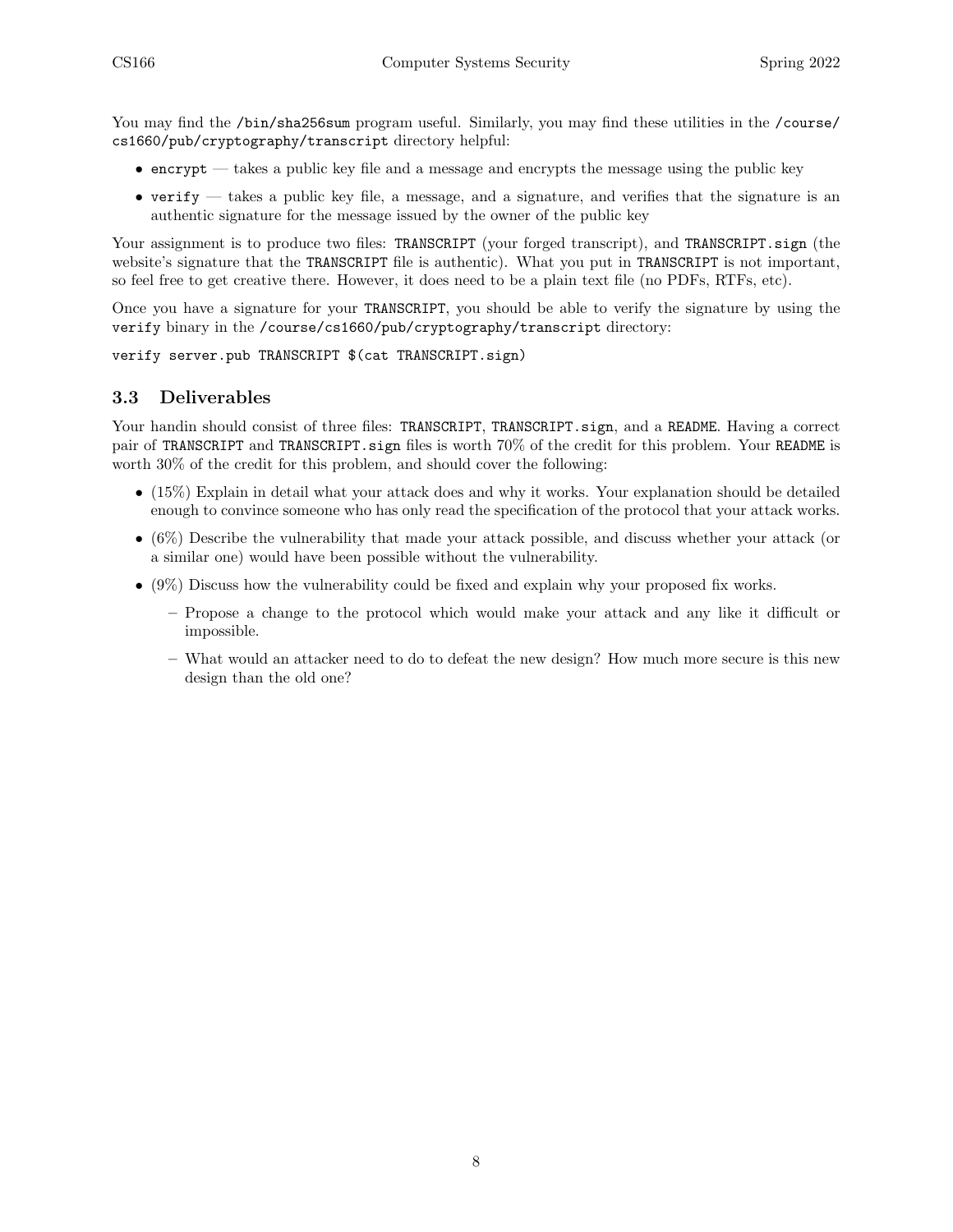You may find the /bin/sha256sum program useful. Similarly, you may find these utilities in the /course/ cs1660/pub/cryptography/transcript directory helpful:

- $\bullet$  encrypt takes a public key file and a message and encrypts the message using the public key
- verify  $-$  takes a public key file, a message, and a signature, and verifies that the signature is an authentic signature for the message issued by the owner of the public key

Your assignment is to produce two files: TRANSCRIPT (your forged transcript), and TRANSCRIPT. sign (the website's signature that the TRANSCRIPT file is authentic). What you put in TRANSCRIPT is not important, so feel free to get creative there. However, it does need to be a plain text file (no PDFs, RTFs, etc).

Once you have a signature for your TRANSCRIPT, you should be able to verify the signature by using the verify binary in the /course/cs1660/pub/cryptography/transcript directory:

```
verify server.pub TRANSCRIPT $(cat TRANSCRIPT.sign)
```
### <span id="page-7-0"></span>3.3 Deliverables

Your handin should consist of three files: TRANSCRIPT, TRANSCRIPT. sign, and a README. Having a correct pair of TRANSCRIPT and TRANSCRIPT.sign files is worth 70% of the credit for this problem. Your README is worth 30% of the credit for this problem, and should cover the following:

- (15%) Explain in detail what your attack does and why it works. Your explanation should be detailed enough to convince someone who has only read the specification of the protocol that your attack works.
- (6%) Describe the vulnerability that made your attack possible, and discuss whether your attack (or a similar one) would have been possible without the vulnerability.
- (9%) Discuss how the vulnerability could be fixed and explain why your proposed fix works.
	- Propose a change to the protocol which would make your attack and any like it difficult or impossible.
	- What would an attacker need to do to defeat the new design? How much more secure is this new design than the old one?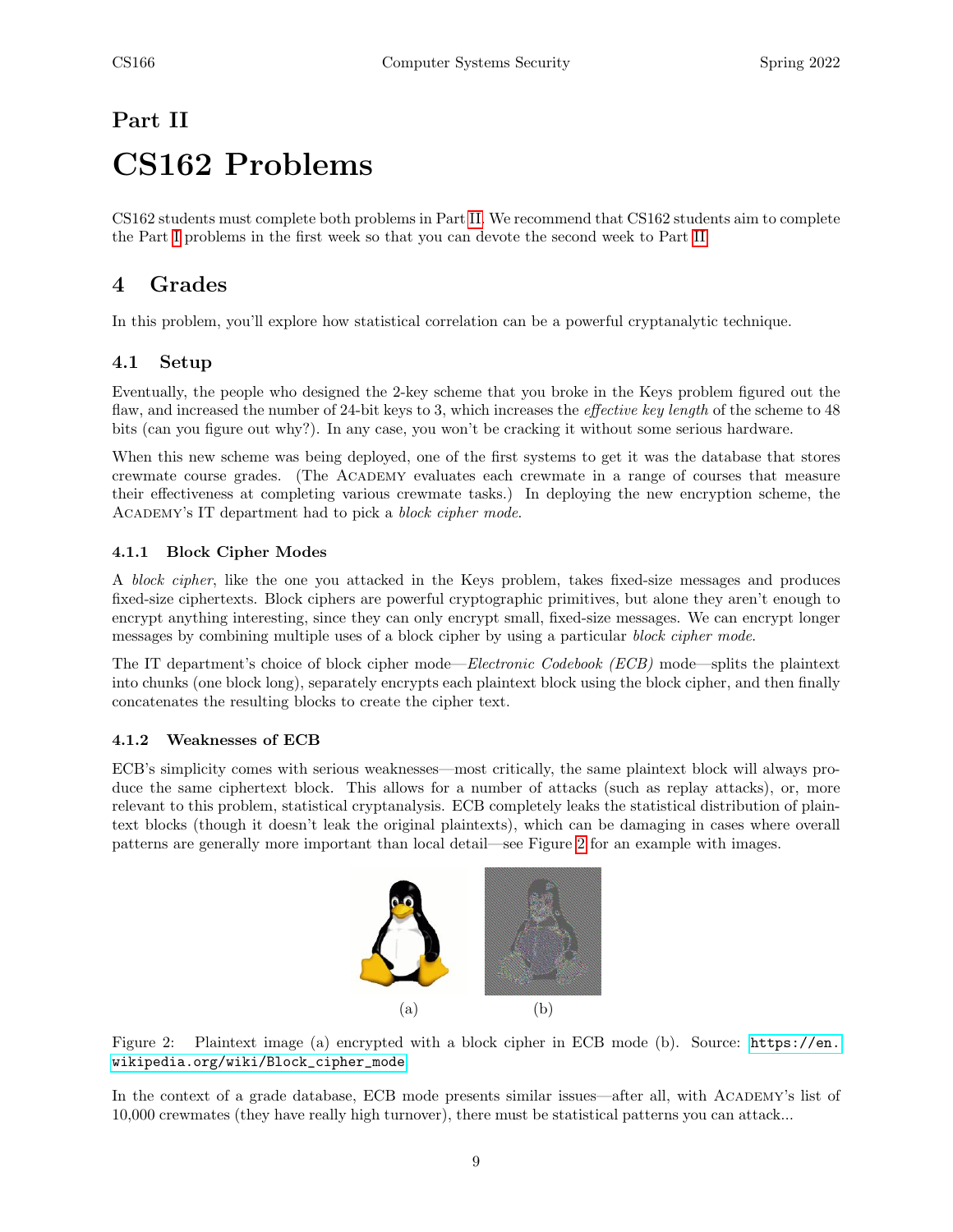# <span id="page-8-0"></span>Part II CS162 Problems

CS162 students must complete both problems in Part [II.](#page-8-0) We recommend that CS162 students aim to complete the Part [I](#page-1-0) problems in the first week so that you can devote the second week to Part [II.](#page-8-0)

# <span id="page-8-1"></span>4 Grades

In this problem, you'll explore how statistical correlation can be a powerful cryptanalytic technique.

### <span id="page-8-2"></span>4.1 Setup

Eventually, the people who designed the 2-key scheme that you broke in the Keys problem figured out the flaw, and increased the number of 24-bit keys to 3, which increases the *effective key length* of the scheme to 48 bits (can you figure out why?). In any case, you won't be cracking it without some serious hardware.

When this new scheme was being deployed, one of the first systems to get it was the database that stores crewmate course grades. (The Academy evaluates each crewmate in a range of courses that measure their effectiveness at completing various crewmate tasks.) In deploying the new encryption scheme, the Academy's IT department had to pick a block cipher mode.

### <span id="page-8-3"></span>4.1.1 Block Cipher Modes

A block cipher, like the one you attacked in the Keys problem, takes fixed-size messages and produces fixed-size ciphertexts. Block ciphers are powerful cryptographic primitives, but alone they aren't enough to encrypt anything interesting, since they can only encrypt small, fixed-size messages. We can encrypt longer messages by combining multiple uses of a block cipher by using a particular block cipher mode.

The IT department's choice of block cipher mode—Electronic Codebook (ECB) mode—splits the plaintext into chunks (one block long), separately encrypts each plaintext block using the block cipher, and then finally concatenates the resulting blocks to create the cipher text.

### <span id="page-8-4"></span>4.1.2 Weaknesses of ECB

ECB's simplicity comes with serious weaknesses—most critically, the same plaintext block will always produce the same ciphertext block. This allows for a number of attacks (such as replay attacks), or, more relevant to this problem, statistical cryptanalysis. ECB completely leaks the statistical distribution of plaintext blocks (though it doesn't leak the original plaintexts), which can be damaging in cases where overall patterns are generally more important than local detail—see Figure [2](#page-8-5) for an example with images.



<span id="page-8-5"></span>Figure 2: Plaintext image (a) encrypted with a block cipher in ECB mode (b). Source: [https://en.](https://en.wikipedia.org/wiki/Block_cipher_mode) [wikipedia.org/wiki/Block\\_cipher\\_mode](https://en.wikipedia.org/wiki/Block_cipher_mode).

In the context of a grade database, ECB mode presents similar issues—after all, with Academy's list of 10,000 crewmates (they have really high turnover), there must be statistical patterns you can attack...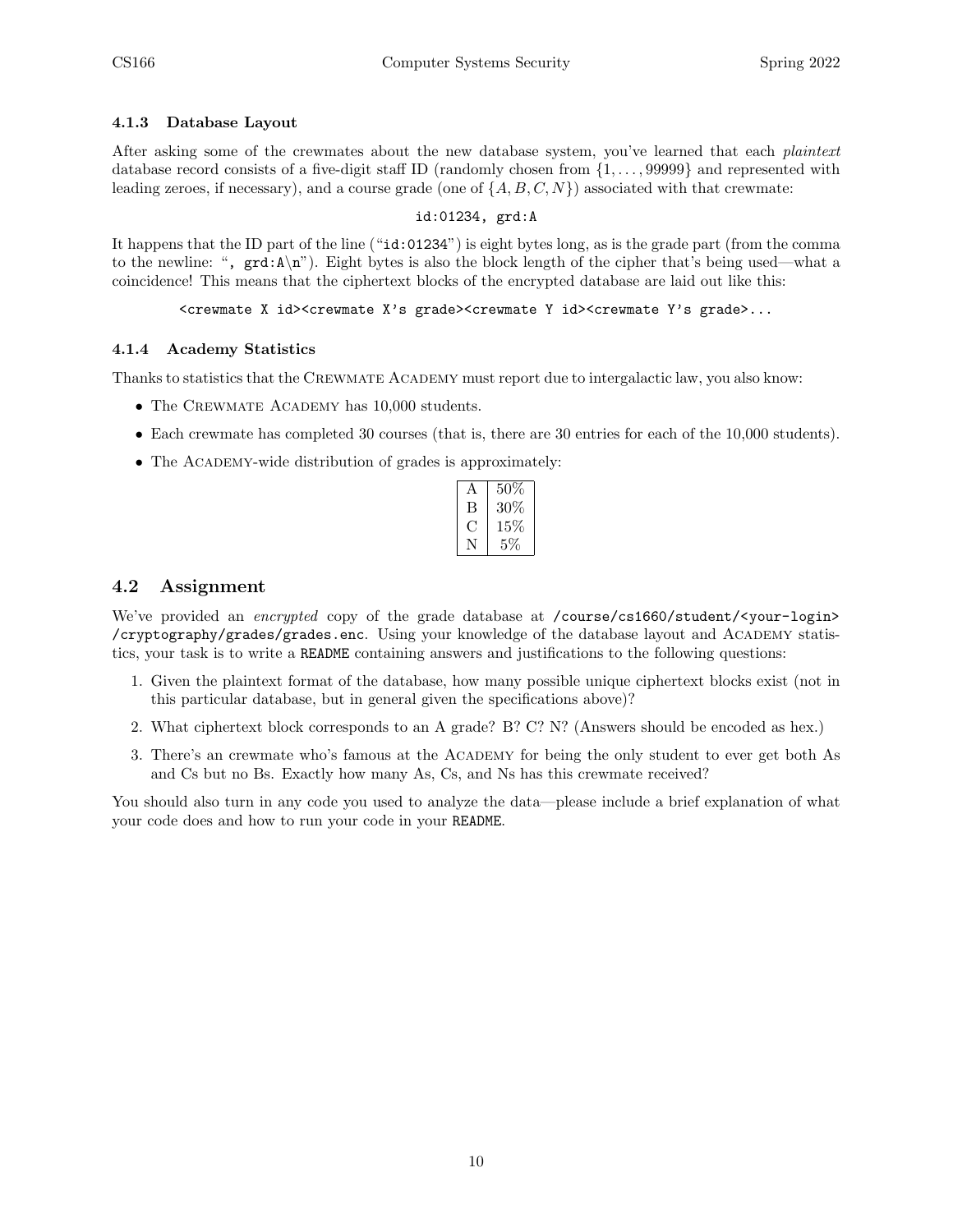### <span id="page-9-0"></span>4.1.3 Database Layout

After asking some of the crewmates about the new database system, you've learned that each *plaintext* database record consists of a five-digit staff ID (randomly chosen from {1, . . . , 99999} and represented with leading zeroes, if necessary), and a course grade (one of  $\{A, B, C, N\}$ ) associated with that crewmate:

### id:01234, grd:A

It happens that the ID part of the line ("id:01234") is eight bytes long, as is the grade part (from the comma to the newline: ", grd:A\n"). Eight bytes is also the block length of the cipher that's being used—what a coincidence! This means that the ciphertext blocks of the encrypted database are laid out like this:

### <crewmate X id><crewmate X's grade><crewmate Y id><crewmate Y's grade>...

### <span id="page-9-1"></span>4.1.4 Academy Statistics

Thanks to statistics that the CREWMATE ACADEMY must report due to intergalactic law, you also know:

- The CREWMATE ACADEMY has 10,000 students.
- Each crewmate has completed 30 courses (that is, there are 30 entries for each of the 10,000 students).
- The ACADEMY-wide distribution of grades is approximately:

| A   | 50%    |
|-----|--------|
| В   | 30\%   |
| ( ) | $15\%$ |
| N   | $5\%$  |

### <span id="page-9-2"></span>4.2 Assignment

We've provided an encrypted copy of the grade database at /course/cs1660/student/<your-login> /cryptography/grades/grades.enc. Using your knowledge of the database layout and Academy statistics, your task is to write a README containing answers and justifications to the following questions:

- 1. Given the plaintext format of the database, how many possible unique ciphertext blocks exist (not in this particular database, but in general given the specifications above)?
- 2. What ciphertext block corresponds to an A grade? B? C? N? (Answers should be encoded as hex.)
- 3. There's an crewmate who's famous at the Academy for being the only student to ever get both As and Cs but no Bs. Exactly how many As, Cs, and Ns has this crewmate received?

You should also turn in any code you used to analyze the data—please include a brief explanation of what your code does and how to run your code in your README.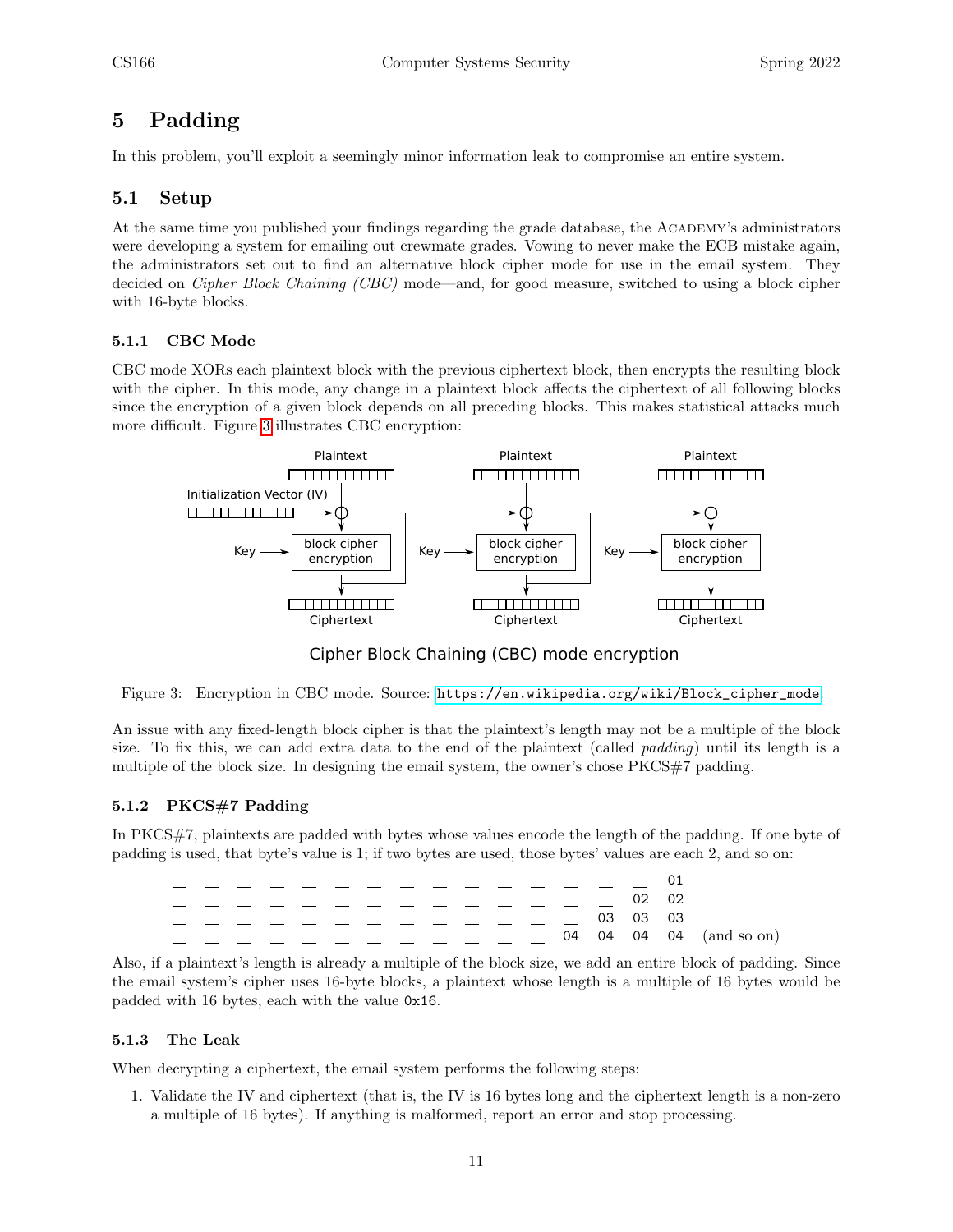# <span id="page-10-0"></span>5 Padding

In this problem, you'll exploit a seemingly minor information leak to compromise an entire system.

### <span id="page-10-1"></span>5.1 Setup

At the same time you published your findings regarding the grade database, the ACADEMY's administrators were developing a system for emailing out crewmate grades. Vowing to never make the ECB mistake again, the administrators set out to find an alternative block cipher mode for use in the email system. They decided on *Cipher Block Chaining (CBC)* mode—and, for good measure, switched to using a block cipher with 16-byte blocks.

### <span id="page-10-2"></span>5.1.1 CBC Mode

CBC mode XORs each plaintext block with the previous ciphertext block, then encrypts the resulting block with the cipher. In this mode, any change in a plaintext block affects the ciphertext of all following blocks since the encryption of a given block depends on all preceding blocks. This makes statistical attacks much more difficult. Figure [3](#page-10-5) illustrates CBC encryption:



Cipher Block Chaining (CBC) mode encryption

<span id="page-10-5"></span>Figure 3: Encryption in CBC mode. Source: [https://en.wikipedia.org/wiki/Block\\_cipher\\_mode](https://en.wikipedia.org/wiki/Block_cipher_mode).

An issue with any fixed-length block cipher is that the plaintext's length may not be a multiple of the block size. To fix this, we can add extra data to the end of the plaintext (called *padding*) until its length is a multiple of the block size. In designing the email system, the owner's chose PKCS#7 padding.

### <span id="page-10-3"></span>5.1.2 PKCS#7 Padding

In PKCS#7, plaintexts are padded with bytes whose values encode the length of the padding. If one byte of padding is used, that byte's value is 1; if two bytes are used, those bytes' values are each 2, and so on:

|  |  |  |  |  |  |  | 02 02    |                             |
|--|--|--|--|--|--|--|----------|-----------------------------|
|  |  |  |  |  |  |  | 03 03 03 |                             |
|  |  |  |  |  |  |  |          | 04  04  04  04  (and so on) |
|  |  |  |  |  |  |  |          |                             |

Also, if a plaintext's length is already a multiple of the block size, we add an entire block of padding. Since the email system's cipher uses 16-byte blocks, a plaintext whose length is a multiple of 16 bytes would be padded with 16 bytes, each with the value 0x16.

### <span id="page-10-4"></span>5.1.3 The Leak

When decrypting a ciphertext, the email system performs the following steps:

1. Validate the IV and ciphertext (that is, the IV is 16 bytes long and the ciphertext length is a non-zero a multiple of 16 bytes). If anything is malformed, report an error and stop processing.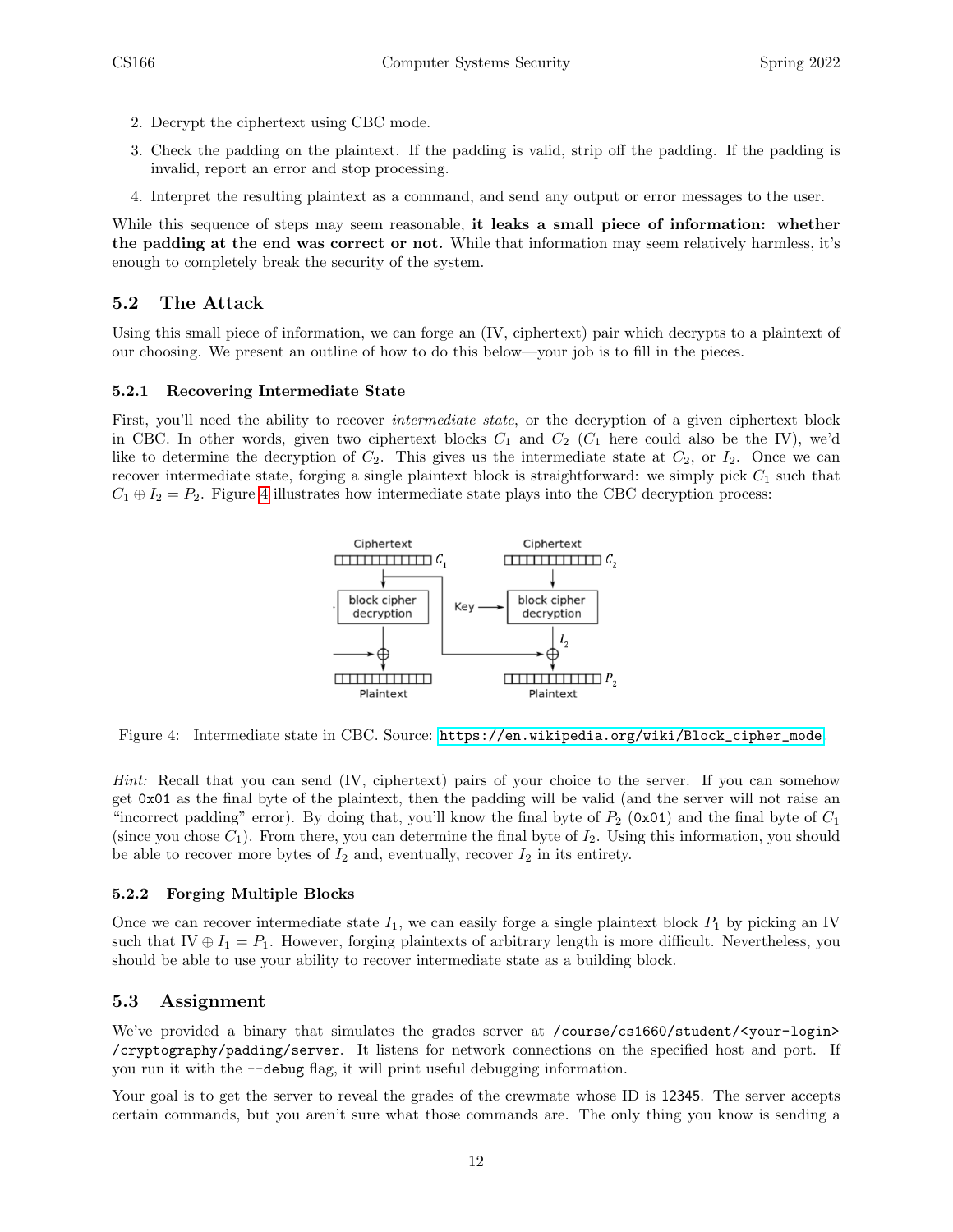- 2. Decrypt the ciphertext using CBC mode.
- 3. Check the padding on the plaintext. If the padding is valid, strip off the padding. If the padding is invalid, report an error and stop processing.
- 4. Interpret the resulting plaintext as a command, and send any output or error messages to the user.

While this sequence of steps may seem reasonable, it leaks a small piece of information: whether the padding at the end was correct or not. While that information may seem relatively harmless, it's enough to completely break the security of the system.

### <span id="page-11-0"></span>5.2 The Attack

Using this small piece of information, we can forge an (IV, ciphertext) pair which decrypts to a plaintext of our choosing. We present an outline of how to do this below—your job is to fill in the pieces.

### <span id="page-11-1"></span>5.2.1 Recovering Intermediate State

First, you'll need the ability to recover *intermediate state*, or the decryption of a given ciphertext block in CBC. In other words, given two ciphertext blocks  $C_1$  and  $C_2$  ( $C_1$  here could also be the IV), we'd like to determine the decryption of  $C_2$ . This gives us the intermediate state at  $C_2$ , or  $I_2$ . Once we can recover intermediate state, forging a single plaintext block is straightforward: we simply pick  $C_1$  such that  $C_1 \oplus I_2 = P_2$ . Figure [4](#page-11-4) illustrates how intermediate state plays into the CBC decryption process:



<span id="page-11-4"></span>Figure 4: Intermediate state in CBC. Source: [https://en.wikipedia.org/wiki/Block\\_cipher\\_mode](https://en.wikipedia.org/wiki/Block_cipher_mode).

Hint: Recall that you can send (IV, ciphertext) pairs of your choice to the server. If you can somehow get 0x01 as the final byte of the plaintext, then the padding will be valid (and the server will not raise an "incorrect padding" error). By doing that, you'll know the final byte of  $P_2$  (0x01) and the final byte of  $C_1$ (since you chose  $C_1$ ). From there, you can determine the final byte of  $I_2$ . Using this information, you should be able to recover more bytes of  $I_2$  and, eventually, recover  $I_2$  in its entirety.

### <span id="page-11-2"></span>5.2.2 Forging Multiple Blocks

Once we can recover intermediate state  $I_1$ , we can easily forge a single plaintext block  $P_1$  by picking an IV such that IV  $\oplus I_1 = P_1$ . However, forging plaintexts of arbitrary length is more difficult. Nevertheless, you should be able to use your ability to recover intermediate state as a building block.

### <span id="page-11-3"></span>5.3 Assignment

We've provided a binary that simulates the grades server at /course/cs1660/student/<your-login> /cryptography/padding/server. It listens for network connections on the specified host and port. If you run it with the --debug flag, it will print useful debugging information.

Your goal is to get the server to reveal the grades of the crewmate whose ID is 12345. The server accepts certain commands, but you aren't sure what those commands are. The only thing you know is sending a